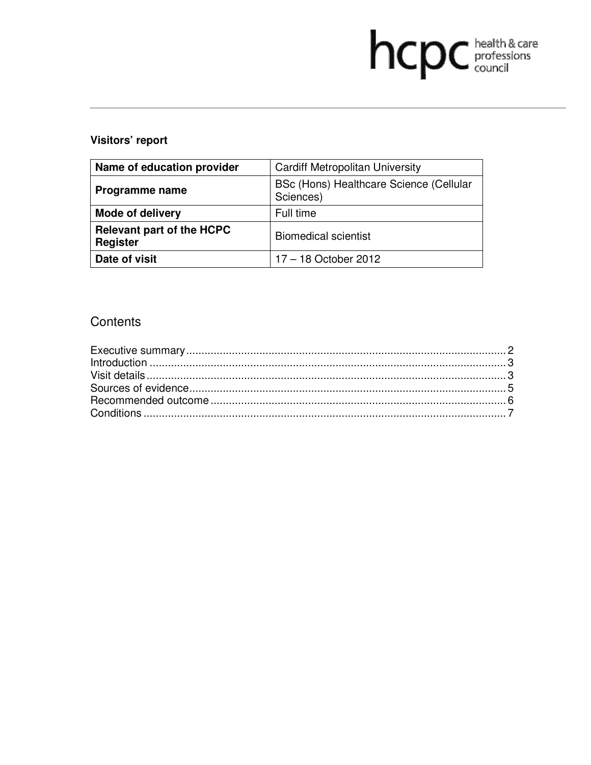# hcpc health & care

# **Visitors' report**

| Name of education provider                   | <b>Cardiff Metropolitan University</b>               |
|----------------------------------------------|------------------------------------------------------|
| Programme name                               | BSc (Hons) Healthcare Science (Cellular<br>Sciences) |
| <b>Mode of delivery</b>                      | Full time                                            |
| <b>Relevant part of the HCPC</b><br>Register | <b>Biomedical scientist</b>                          |
| Date of visit                                | $17 - 18$ October 2012                               |

# **Contents**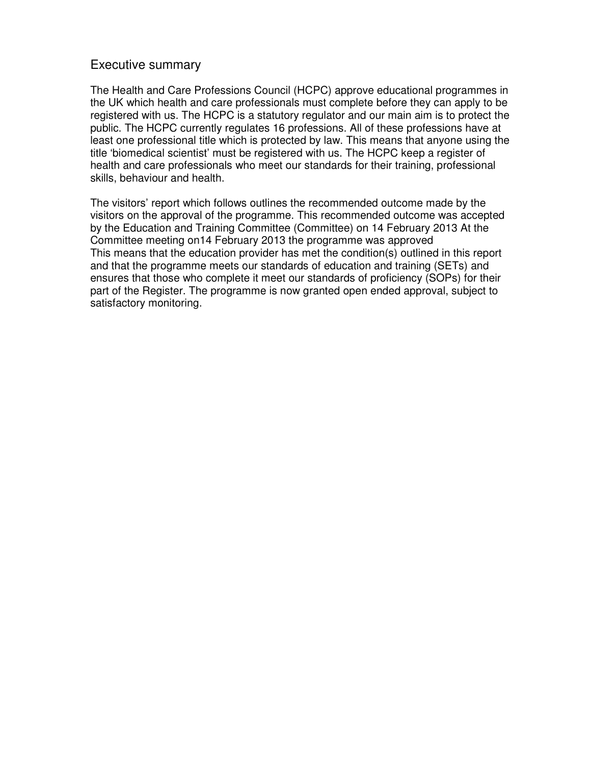#### Executive summary

The Health and Care Professions Council (HCPC) approve educational programmes in the UK which health and care professionals must complete before they can apply to be registered with us. The HCPC is a statutory regulator and our main aim is to protect the public. The HCPC currently regulates 16 professions. All of these professions have at least one professional title which is protected by law. This means that anyone using the title 'biomedical scientist' must be registered with us. The HCPC keep a register of health and care professionals who meet our standards for their training, professional skills, behaviour and health.

The visitors' report which follows outlines the recommended outcome made by the visitors on the approval of the programme. This recommended outcome was accepted by the Education and Training Committee (Committee) on 14 February 2013 At the Committee meeting on14 February 2013 the programme was approved This means that the education provider has met the condition(s) outlined in this report and that the programme meets our standards of education and training (SETs) and ensures that those who complete it meet our standards of proficiency (SOPs) for their part of the Register. The programme is now granted open ended approval, subject to satisfactory monitoring.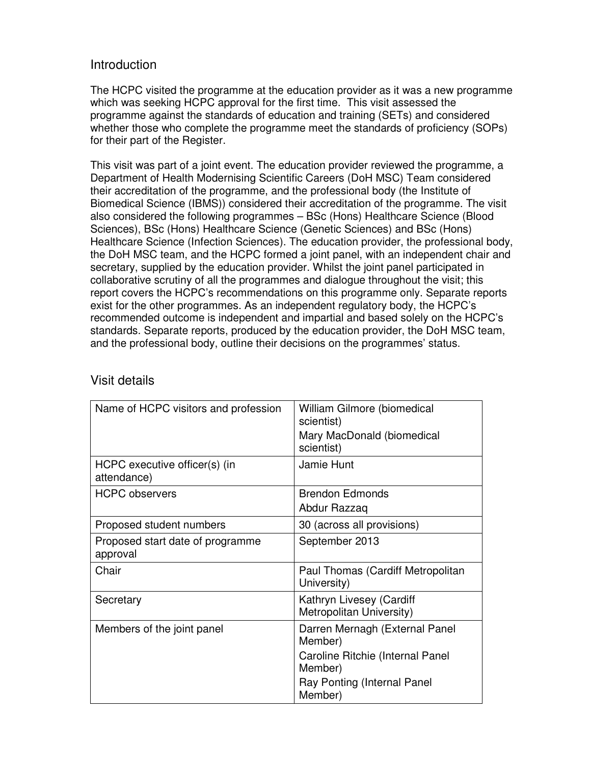## Introduction

The HCPC visited the programme at the education provider as it was a new programme which was seeking HCPC approval for the first time. This visit assessed the programme against the standards of education and training (SETs) and considered whether those who complete the programme meet the standards of proficiency (SOPs) for their part of the Register.

This visit was part of a joint event. The education provider reviewed the programme, a Department of Health Modernising Scientific Careers (DoH MSC) Team considered their accreditation of the programme, and the professional body (the Institute of Biomedical Science (IBMS)) considered their accreditation of the programme. The visit also considered the following programmes – BSc (Hons) Healthcare Science (Blood Sciences), BSc (Hons) Healthcare Science (Genetic Sciences) and BSc (Hons) Healthcare Science (Infection Sciences). The education provider, the professional body, the DoH MSC team, and the HCPC formed a joint panel, with an independent chair and secretary, supplied by the education provider. Whilst the joint panel participated in collaborative scrutiny of all the programmes and dialogue throughout the visit; this report covers the HCPC's recommendations on this programme only. Separate reports exist for the other programmes. As an independent regulatory body, the HCPC's recommended outcome is independent and impartial and based solely on the HCPC's standards. Separate reports, produced by the education provider, the DoH MSC team, and the professional body, outline their decisions on the programmes' status.

| Name of HCPC visitors and profession         | William Gilmore (biomedical<br>scientist)<br>Mary MacDonald (biomedical |
|----------------------------------------------|-------------------------------------------------------------------------|
|                                              | scientist)                                                              |
| HCPC executive officer(s) (in<br>attendance) | Jamie Hunt                                                              |
| <b>HCPC</b> observers                        | <b>Brendon Edmonds</b>                                                  |
|                                              | Abdur Razzaq                                                            |
| Proposed student numbers                     | 30 (across all provisions)                                              |
| Proposed start date of programme<br>approval | September 2013                                                          |
| Chair                                        | Paul Thomas (Cardiff Metropolitan<br>University)                        |
| Secretary                                    | Kathryn Livesey (Cardiff<br>Metropolitan University)                    |
| Members of the joint panel                   | Darren Mernagh (External Panel<br>Member)                               |
|                                              | Caroline Ritchie (Internal Panel<br>Member)                             |
|                                              | Ray Ponting (Internal Panel<br>Member)                                  |

### Visit details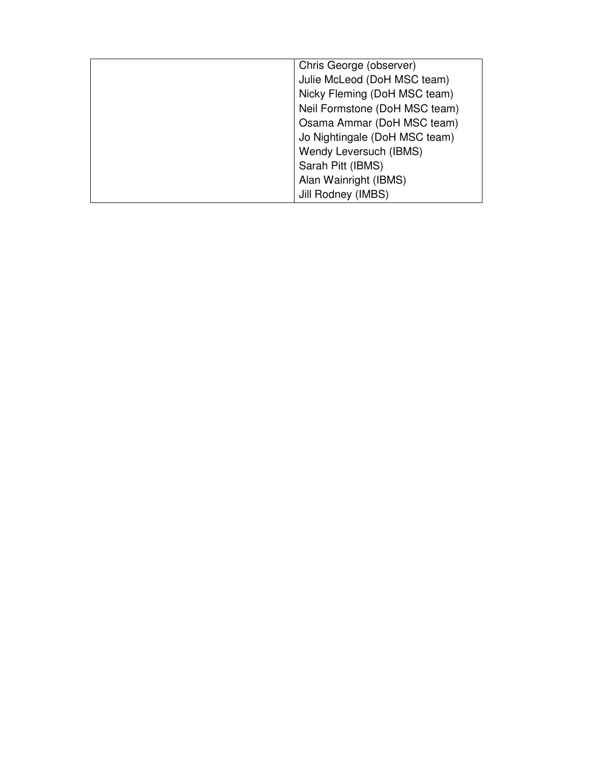| Chris George (observer)       |
|-------------------------------|
| Julie McLeod (DoH MSC team)   |
| Nicky Fleming (DoH MSC team)  |
| Neil Formstone (DoH MSC team) |
| Osama Ammar (DoH MSC team)    |
| Jo Nightingale (DoH MSC team) |
| Wendy Leversuch (IBMS)        |
| Sarah Pitt (IBMS)             |
| Alan Wainright (IBMS)         |
| Jill Rodney (IMBS)            |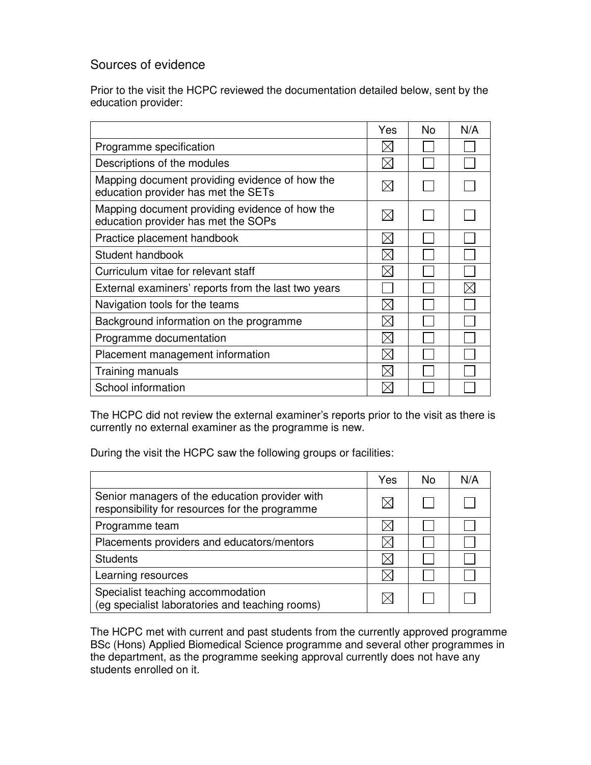# Sources of evidence

Prior to the visit the HCPC reviewed the documentation detailed below, sent by the education provider:

|                                                                                       | Yes         | No. | N/A |
|---------------------------------------------------------------------------------------|-------------|-----|-----|
| Programme specification                                                               |             |     |     |
| Descriptions of the modules                                                           | $\times$    |     |     |
| Mapping document providing evidence of how the<br>education provider has met the SETs |             |     |     |
| Mapping document providing evidence of how the<br>education provider has met the SOPs |             |     |     |
| Practice placement handbook                                                           | $\boxtimes$ |     |     |
| Student handbook                                                                      | $\times$    |     |     |
| Curriculum vitae for relevant staff                                                   | $\times$    |     |     |
| External examiners' reports from the last two years                                   |             |     |     |
| Navigation tools for the teams                                                        |             |     |     |
| Background information on the programme                                               | $\boxtimes$ |     |     |
| Programme documentation                                                               | $\times$    |     |     |
| Placement management information                                                      | $\boxtimes$ |     |     |
| Training manuals                                                                      | $\times$    |     |     |
| School information                                                                    |             |     |     |

The HCPC did not review the external examiner's reports prior to the visit as there is currently no external examiner as the programme is new.

During the visit the HCPC saw the following groups or facilities:

|                                                                                                  | Yes | No | N/A |
|--------------------------------------------------------------------------------------------------|-----|----|-----|
| Senior managers of the education provider with<br>responsibility for resources for the programme |     |    |     |
| Programme team                                                                                   |     |    |     |
| Placements providers and educators/mentors                                                       |     |    |     |
| <b>Students</b>                                                                                  |     |    |     |
| Learning resources                                                                               |     |    |     |
| Specialist teaching accommodation<br>(eg specialist laboratories and teaching rooms)             |     |    |     |

The HCPC met with current and past students from the currently approved programme BSc (Hons) Applied Biomedical Science programme and several other programmes in the department, as the programme seeking approval currently does not have any students enrolled on it.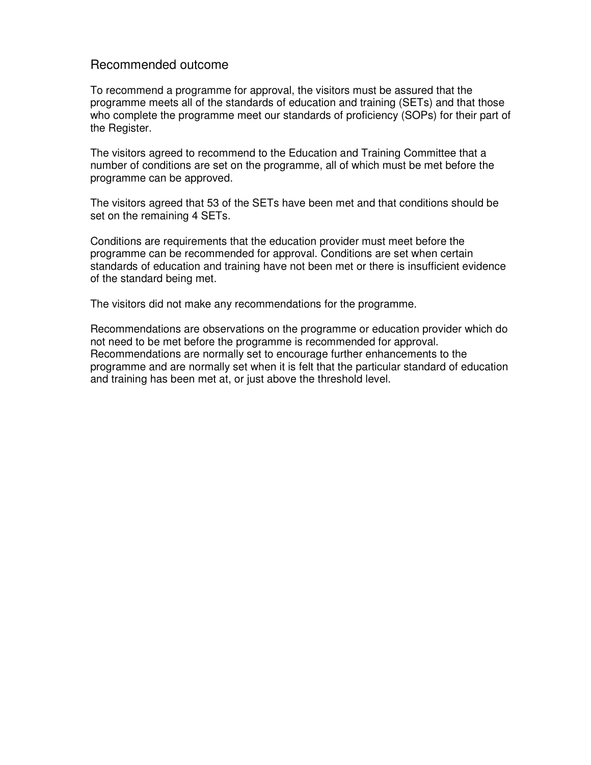#### Recommended outcome

To recommend a programme for approval, the visitors must be assured that the programme meets all of the standards of education and training (SETs) and that those who complete the programme meet our standards of proficiency (SOPs) for their part of the Register.

The visitors agreed to recommend to the Education and Training Committee that a number of conditions are set on the programme, all of which must be met before the programme can be approved.

The visitors agreed that 53 of the SETs have been met and that conditions should be set on the remaining 4 SETs.

Conditions are requirements that the education provider must meet before the programme can be recommended for approval. Conditions are set when certain standards of education and training have not been met or there is insufficient evidence of the standard being met.

The visitors did not make any recommendations for the programme.

Recommendations are observations on the programme or education provider which do not need to be met before the programme is recommended for approval. Recommendations are normally set to encourage further enhancements to the programme and are normally set when it is felt that the particular standard of education and training has been met at, or just above the threshold level.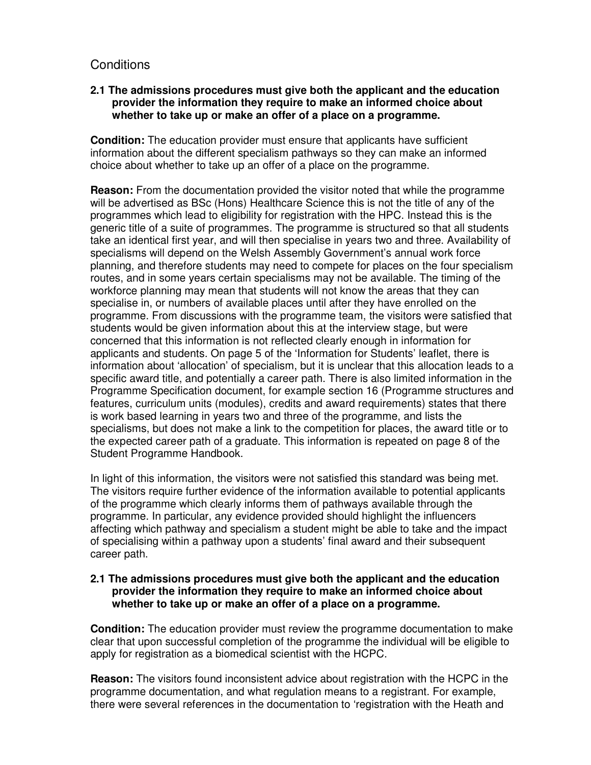## **Conditions**

#### **2.1 The admissions procedures must give both the applicant and the education provider the information they require to make an informed choice about whether to take up or make an offer of a place on a programme.**

**Condition:** The education provider must ensure that applicants have sufficient information about the different specialism pathways so they can make an informed choice about whether to take up an offer of a place on the programme.

**Reason:** From the documentation provided the visitor noted that while the programme will be advertised as BSc (Hons) Healthcare Science this is not the title of any of the programmes which lead to eligibility for registration with the HPC. Instead this is the generic title of a suite of programmes. The programme is structured so that all students take an identical first year, and will then specialise in years two and three. Availability of specialisms will depend on the Welsh Assembly Government's annual work force planning, and therefore students may need to compete for places on the four specialism routes, and in some years certain specialisms may not be available. The timing of the workforce planning may mean that students will not know the areas that they can specialise in, or numbers of available places until after they have enrolled on the programme. From discussions with the programme team, the visitors were satisfied that students would be given information about this at the interview stage, but were concerned that this information is not reflected clearly enough in information for applicants and students. On page 5 of the 'Information for Students' leaflet, there is information about 'allocation' of specialism, but it is unclear that this allocation leads to a specific award title, and potentially a career path. There is also limited information in the Programme Specification document, for example section 16 (Programme structures and features, curriculum units (modules), credits and award requirements) states that there is work based learning in years two and three of the programme, and lists the specialisms, but does not make a link to the competition for places, the award title or to the expected career path of a graduate. This information is repeated on page 8 of the Student Programme Handbook.

In light of this information, the visitors were not satisfied this standard was being met. The visitors require further evidence of the information available to potential applicants of the programme which clearly informs them of pathways available through the programme. In particular, any evidence provided should highlight the influencers affecting which pathway and specialism a student might be able to take and the impact of specialising within a pathway upon a students' final award and their subsequent career path.

#### **2.1 The admissions procedures must give both the applicant and the education provider the information they require to make an informed choice about whether to take up or make an offer of a place on a programme.**

**Condition:** The education provider must review the programme documentation to make clear that upon successful completion of the programme the individual will be eligible to apply for registration as a biomedical scientist with the HCPC.

**Reason:** The visitors found inconsistent advice about registration with the HCPC in the programme documentation, and what regulation means to a registrant. For example, there were several references in the documentation to 'registration with the Heath and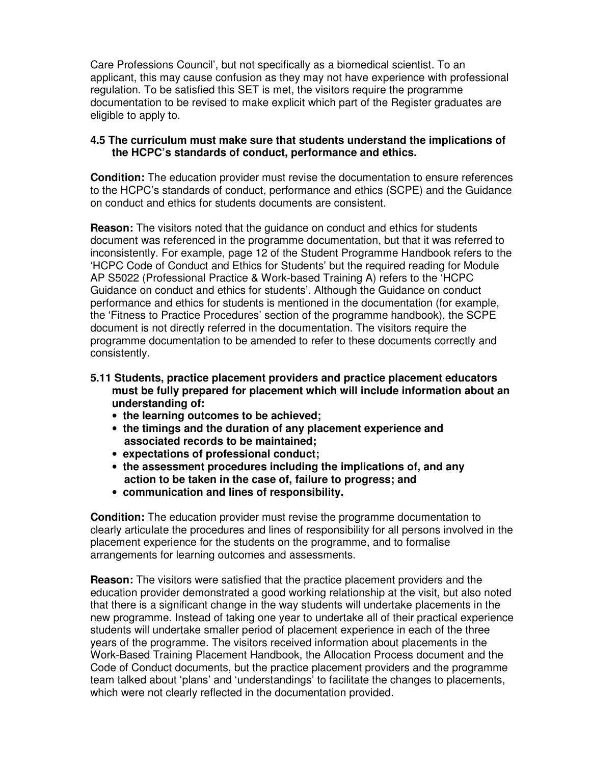Care Professions Council', but not specifically as a biomedical scientist. To an applicant, this may cause confusion as they may not have experience with professional regulation. To be satisfied this SET is met, the visitors require the programme documentation to be revised to make explicit which part of the Register graduates are eligible to apply to.

#### **4.5 The curriculum must make sure that students understand the implications of the HCPC's standards of conduct, performance and ethics.**

**Condition:** The education provider must revise the documentation to ensure references to the HCPC's standards of conduct, performance and ethics (SCPE) and the Guidance on conduct and ethics for students documents are consistent.

**Reason:** The visitors noted that the guidance on conduct and ethics for students document was referenced in the programme documentation, but that it was referred to inconsistently. For example, page 12 of the Student Programme Handbook refers to the 'HCPC Code of Conduct and Ethics for Students' but the required reading for Module AP S5022 (Professional Practice & Work-based Training A) refers to the 'HCPC Guidance on conduct and ethics for students'. Although the Guidance on conduct performance and ethics for students is mentioned in the documentation (for example, the 'Fitness to Practice Procedures' section of the programme handbook), the SCPE document is not directly referred in the documentation. The visitors require the programme documentation to be amended to refer to these documents correctly and consistently.

- **5.11 Students, practice placement providers and practice placement educators must be fully prepared for placement which will include information about an understanding of:** 
	- **the learning outcomes to be achieved;**
	- **the timings and the duration of any placement experience and associated records to be maintained;**
	- **expectations of professional conduct;**
	- **the assessment procedures including the implications of, and any action to be taken in the case of, failure to progress; and**
	- **communication and lines of responsibility.**

**Condition:** The education provider must revise the programme documentation to clearly articulate the procedures and lines of responsibility for all persons involved in the placement experience for the students on the programme, and to formalise arrangements for learning outcomes and assessments.

**Reason:** The visitors were satisfied that the practice placement providers and the education provider demonstrated a good working relationship at the visit, but also noted that there is a significant change in the way students will undertake placements in the new programme. Instead of taking one year to undertake all of their practical experience students will undertake smaller period of placement experience in each of the three years of the programme. The visitors received information about placements in the Work-Based Training Placement Handbook, the Allocation Process document and the Code of Conduct documents, but the practice placement providers and the programme team talked about 'plans' and 'understandings' to facilitate the changes to placements, which were not clearly reflected in the documentation provided.